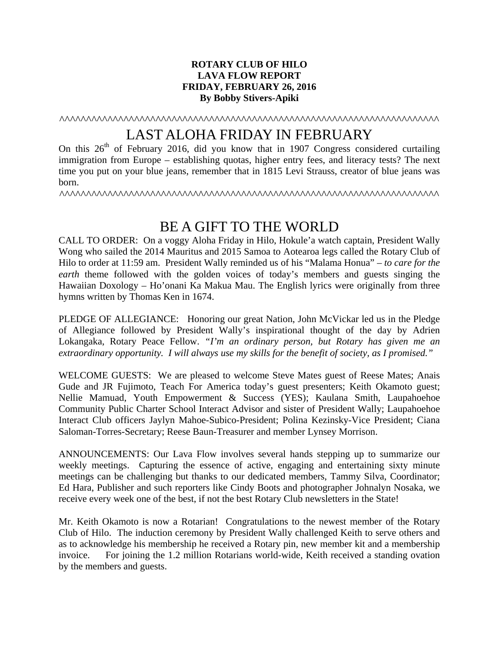## **ROTARY CLUB OF HILO LAVA FLOW REPORT FRIDAY, FEBRUARY 26, 2016 By Bobby Stivers-Apiki**

^^^^^^^^^^^^^^^^^^^^^^^^^^^^^^^^^^^^^^^^^^^^^^^^^^^^^^^^^^^^^^^^^^^^^^^

## LAST ALOHA FRIDAY IN FEBRUARY

On this  $26<sup>th</sup>$  of February 2016, did you know that in 1907 Congress considered curtailing immigration from Europe – establishing quotas, higher entry fees, and literacy tests? The next time you put on your blue jeans, remember that in 1815 Levi Strauss, creator of blue jeans was born.

^^^^^^^^^^^^^^^^^^^^^^^^^^^^^^^^^^^^^^^^^^^^^^^^^^^^^^^^^^^^^^^^^^^^^^^

## BE A GIFT TO THE WORLD

CALL TO ORDER: On a voggy Aloha Friday in Hilo, Hokule'a watch captain, President Wally Wong who sailed the 2014 Mauritus and 2015 Samoa to Aotearoa legs called the Rotary Club of Hilo to order at 11:59 am. President Wally reminded us of his "Malama Honua" – *to care for the earth* theme followed with the golden voices of today's members and guests singing the Hawaiian Doxology – Ho'onani Ka Makua Mau. The English lyrics were originally from three hymns written by Thomas Ken in 1674.

PLEDGE OF ALLEGIANCE: Honoring our great Nation, John McVickar led us in the Pledge of Allegiance followed by President Wally's inspirational thought of the day by Adrien Lokangaka, Rotary Peace Fellow. *"I'm an ordinary person, but Rotary has given me an extraordinary opportunity. I will always use my skills for the benefit of society, as I promised."* 

WELCOME GUESTS: We are pleased to welcome Steve Mates guest of Reese Mates; Anais Gude and JR Fujimoto, Teach For America today's guest presenters; Keith Okamoto guest; Nellie Mamuad, Youth Empowerment & Success (YES); Kaulana Smith, Laupahoehoe Community Public Charter School Interact Advisor and sister of President Wally; Laupahoehoe Interact Club officers Jaylyn Mahoe-Subico-President; Polina Kezinsky-Vice President; Ciana Saloman-Torres-Secretary; Reese Baun-Treasurer and member Lynsey Morrison.

ANNOUNCEMENTS: Our Lava Flow involves several hands stepping up to summarize our weekly meetings. Capturing the essence of active, engaging and entertaining sixty minute meetings can be challenging but thanks to our dedicated members, Tammy Silva, Coordinator; Ed Hara, Publisher and such reporters like Cindy Boots and photographer Johnalyn Nosaka, we receive every week one of the best, if not the best Rotary Club newsletters in the State!

Mr. Keith Okamoto is now a Rotarian! Congratulations to the newest member of the Rotary Club of Hilo. The induction ceremony by President Wally challenged Keith to serve others and as to acknowledge his membership he received a Rotary pin, new member kit and a membership invoice. For joining the 1.2 million Rotarians world-wide, Keith received a standing ovation by the members and guests.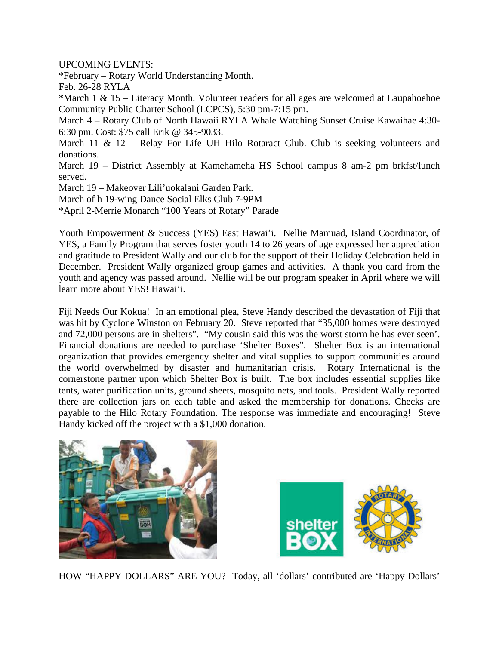UPCOMING EVENTS:

\*February – Rotary World Understanding Month.

Feb. 26-28 RYLA

\*March 1 & 15 – Literacy Month. Volunteer readers for all ages are welcomed at Laupahoehoe Community Public Charter School (LCPCS), 5:30 pm-7:15 pm.

March 4 – Rotary Club of North Hawaii RYLA Whale Watching Sunset Cruise Kawaihae 4:30- 6:30 pm. Cost: \$75 call Erik @ 345-9033.

March 11 & 12 – Relay For Life UH Hilo Rotaract Club. Club is seeking volunteers and donations.

March 19 – District Assembly at Kamehameha HS School campus 8 am-2 pm brkfst/lunch served.

March 19 – Makeover Lili'uokalani Garden Park.

March of h 19-wing Dance Social Elks Club 7-9PM

\*April 2-Merrie Monarch "100 Years of Rotary" Parade

Youth Empowerment & Success (YES) East Hawai'i. Nellie Mamuad, Island Coordinator, of YES, a Family Program that serves foster youth 14 to 26 years of age expressed her appreciation and gratitude to President Wally and our club for the support of their Holiday Celebration held in December. President Wally organized group games and activities. A thank you card from the youth and agency was passed around. Nellie will be our program speaker in April where we will learn more about YES! Hawai'i.

Fiji Needs Our Kokua! In an emotional plea, Steve Handy described the devastation of Fiji that was hit by Cyclone Winston on February 20. Steve reported that "35,000 homes were destroyed and 72,000 persons are in shelters". "My cousin said this was the worst storm he has ever seen'. Financial donations are needed to purchase 'Shelter Boxes". Shelter Box is an international organization that provides emergency shelter and vital supplies to support communities around the world overwhelmed by disaster and humanitarian crisis. Rotary International is the cornerstone partner upon which Shelter Box is built. The box includes essential supplies like tents, water purification units, ground sheets, mosquito nets, and tools. President Wally reported there are collection jars on each table and asked the membership for donations. Checks are payable to the Hilo Rotary Foundation. The response was immediate and encouraging! Steve Handy kicked off the project with a \$1,000 donation.





HOW "HAPPY DOLLARS" ARE YOU? Today, all 'dollars' contributed are 'Happy Dollars'